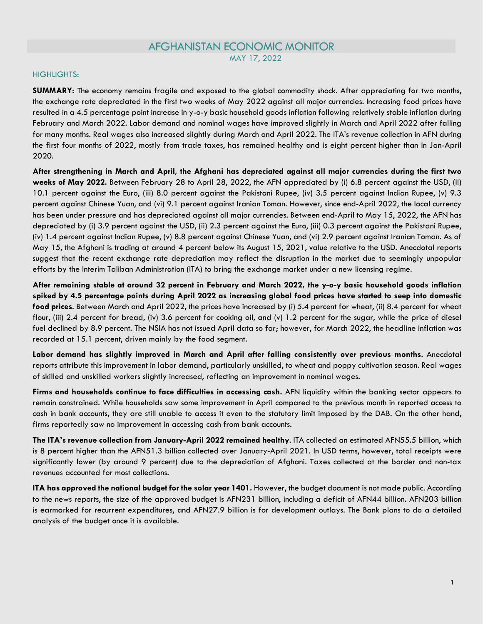# AFGHANISTAN ECONOMIC MONITOR

MAY 17, 2022

## HIGHLIGHTS:

**SUMMARY:** The economy remains fragile and exposed to the global commodity shock. After appreciating for two months, the exchange rate depreciated in the first two weeks of May 2022 against all major currencies. Increasing food prices have resulted in a 4.5 percentage point increase in y-o-y basic household goods inflation following relatively stable inflation during February and March 2022. Labor demand and nominal wages have improved slightly in March and April 2022 after falling for many months. Real wages also increased slightly during March and April 2022. The ITA's revenue collection in AFN during the first four months of 2022, mostly from trade taxes, has remained healthy and is eight percent higher than in Jan-April 2020.

**After strengthening in March and April, the Afghani has depreciated against all major currencies during the first two weeks of May 2022.** Between February 28 to April 28, 2022, the AFN appreciated by (i) 6.8 percent against the USD, (ii) 10.1 percent against the Euro, (iii) 8.0 percent against the Pakistani Rupee, (iv) 3.5 percent against Indian Rupee, (v) 9.3 percent against Chinese Yuan, and (vi) 9.1 percent against Iranian Toman. However, since end-April 2022, the local currency has been under pressure and has depreciated against all major currencies. Between end-April to May 15, 2022, the AFN has depreciated by (i) 3.9 percent against the USD, (ii) 2.3 percent against the Euro, (iii) 0.3 percent against the Pakistani Rupee, (iv) 1.4 percent against Indian Rupee, (v) 8.8 percent against Chinese Yuan, and (vi) 2.9 percent against Iranian Toman. As of May 15, the Afghani is trading at around 4 percent below its August 15, 2021, value relative to the USD. Anecdotal reports suggest that the recent exchange rate depreciation may reflect the disruption in the market due to seemingly unpopular efforts by the Interim Taliban Administration (ITA) to bring the exchange market under a new licensing regime.

**After remaining stable at around 32 percent in February and March 2022, the y-o-y basic household goods inflation spiked by 4.5 percentage points during April 2022 as increasing global food prices have started to seep into domestic food prices**. Between March and April 2022, the prices have increased by (i) 5.4 percent for wheat, (ii) 8.4 percent for wheat flour, (iii) 2.4 percent for bread, (iv) 3.6 percent for cooking oil, and (v) 1.2 percent for the sugar, while the price of diesel fuel declined by 8.9 percent. The NSIA has not issued April data so far; however, for March 2022, the headline inflation was recorded at 15.1 percent, driven mainly by the food segment.

**Labor demand has slightly improved in March and April after falling consistently over previous months**. Anecdotal reports attribute this improvement in labor demand, particularly unskilled, to wheat and poppy cultivation season. Real wages of skilled and unskilled workers slightly increased, reflecting an improvement in nominal wages.

**Firms and households continue to face difficulties in accessing cash.** AFN liquidity within the banking sector appears to remain constrained. While households saw some improvement in April compared to the previous month in reported access to cash in bank accounts, they are still unable to access it even to the statutory limit imposed by the DAB. On the other hand, firms reportedly saw no improvement in accessing cash from bank accounts.

**The ITA's revenue collection from January-April 2022 remained healthy**. ITA collected an estimated AFN55.5 billion, which is 8 percent higher than the AFN51.3 billion collected over January-April 2021. In USD terms, however, total receipts were significantly lower (by around 9 percent) due to the depreciation of Afghani. Taxes collected at the border and non-tax revenues accounted for most collections.

**ITA has approved the national budget for the solar year 1401.** However, the budget document is not made public. According to the news reports, the size of the approved budget is AFN231 billion, including a deficit of AFN44 billion. AFN203 billion is earmarked for recurrent expenditures, and AFN27.9 billion is for development outlays. The Bank plans to do a detailed analysis of the budget once it is available.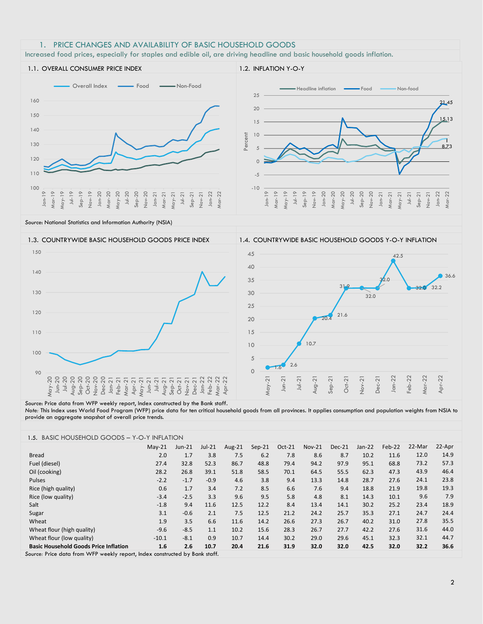### 1. PRICE CHANGES AND AVAILABILITY OF BASIC HOUSEHOLD GOODS

Increased food prices, especially for staples and edible oil, are driving headline and basic household goods inflation.



*Source*: National Statistics and Information Authority (NSIA)



#### *Source*: Price data from WFP weekly report, Index constructed by the Bank staff.

*Note:* This Index uses World Food Program (WFP) price data for ten critical household goods from all provinces. It applies consumption and population weights from NSIA to provide an aggregate snapshot of overall price trends.

| <b>BASIC HOUSEHOLD GOODS - Y-O-Y INFLATION</b><br>1.5. |          |          |          |        |          |        |               |        |          |        |        |        |
|--------------------------------------------------------|----------|----------|----------|--------|----------|--------|---------------|--------|----------|--------|--------|--------|
|                                                        | $May-21$ | $Jun-21$ | $Jul-21$ | Aug-21 | $Sep-21$ | Oct-21 | <b>Nov-21</b> | Dec-21 | $Jan-22$ | Feb-22 | 22-Mar | 22-Apr |
| <b>Bread</b>                                           | 2.0      | 1.7      | 3.8      | 7.5    | 6.2      | 7.8    | 8.6           | 8.7    | 10.2     | 11.6   | 12.0   | 14.9   |
| Fuel (diesel)                                          | 27.4     | 32.8     | 52.3     | 86.7   | 48.8     | 79.4   | 94.2          | 97.9   | 95.1     | 68.8   | 73.2   | 57.3   |
| Oil (cooking)                                          | 28.2     | 26.8     | 39.1     | 51.8   | 58.5     | 70.1   | 64.5          | 55.5   | 62.3     | 47.3   | 43.9   | 46.4   |
| <b>Pulses</b>                                          | $-2.2$   | $-1.7$   | $-0.9$   | 4.6    | 3.8      | 9.4    | 13.3          | 14.8   | 28.7     | 27.6   | 24.1   | 23.8   |
| Rice (high quality)                                    | 0.6      | 1.7      | 3.4      | 7.2    | 8.5      | 6.6    | 7.6           | 9.4    | 18.8     | 21.9   | 19.8   | 19.3   |
| Rice (low quality)                                     | $-3.4$   | $-2.5$   | 3.3      | 9.6    | 9.5      | 5.8    | 4.8           | 8.1    | 14.3     | 10.1   | 9.6    | 7.9    |
| Salt                                                   | $-1.8$   | 9.4      | 11.6     | 12.5   | 12.2     | 8.4    | 13.4          | 14.1   | 30.2     | 25.2   | 23.4   | 18.9   |
| Sugar                                                  | 3.1      | $-0.6$   | 2.1      | 7.5    | 12.5     | 21.2   | 24.2          | 25.7   | 35.3     | 27.1   | 24.7   | 24.4   |
| Wheat                                                  | 1.9      | 3.5      | 6.6      | 11.6   | 14.2     | 26.6   | 27.3          | 26.7   | 40.2     | 31.0   | 27.8   | 35.5   |
| Wheat flour (high quality)                             | $-9.6$   | $-8.5$   | 1.1      | 10.2   | 15.6     | 28.3   | 26.7          | 27.7   | 42.2     | 27.6   | 31.6   | 44.0   |
| Wheat flour (low quality)                              | $-10.1$  | $-8.1$   | 0.9      | 10.7   | 14.4     | 30.2   | 29.0          | 29.6   | 45.1     | 32.3   | 32.1   | 44.7   |
| <b>Basic Household Goods Price Inflation</b>           | 1.6      | 2.6      | 10.7     | 20.4   | 21.6     | 31.9   | 32.0          | 32.0   | 42.5     | 32.0   | 32.2   | 36.6   |

*Source:* Price data from WFP weekly report, Index constructed by Bank staff.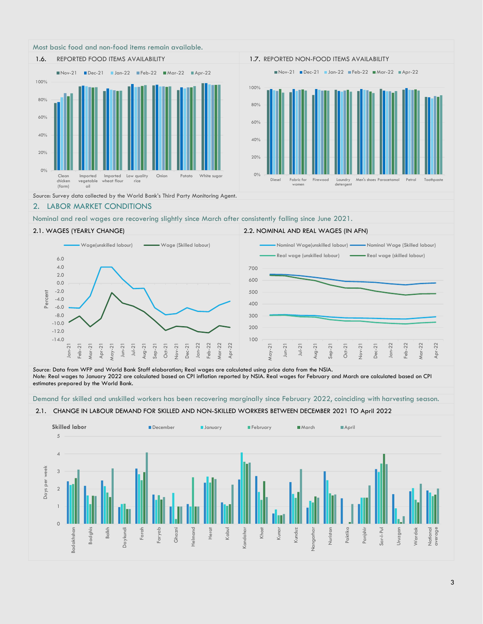



#### *Source*: Survey data collected by the World Bank's Third Party Monitoring Agent.

### 2. LABOR MARKET CONDITIONS

Nominal and real wages are recovering slightly since March after consistently falling since June 2021.



*Source:* Data from WFP and World Bank Staff elaboration; Real wages are calculated using price data from the NSIA. *Note:* Real wages to January 2022 are calculated based on CPI inflation reported by NSIA. Real wages for February and March are calculated based on CPI estimates prepared by the World Bank.

Demand for skilled and unskilled workers has been recovering marginally since February 2022, coinciding with harvesting season.

2.1. CHANGE IN LABOUR DEMAND FOR SKILLED AND NON-SKILLED WORKERS BETWEEN DECEMBER 2021 TO April 2022

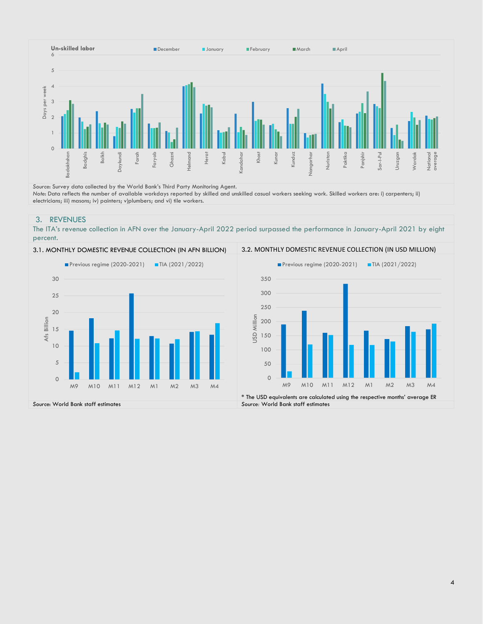

*Source*: Survey data collected by the World Bank's Third Party Monitoring Agent. *Note*: Data reflects the number of available workdays reported by skilled and unskilled casual workers seeking work. Skilled workers are: i) carpenters; ii) electricians; iii) masons; iv) painters; v)plumbers; and vi) tile workers.

### 3. REVENUES

The ITA's revenue collection in AFN over the January-April 2022 period surpassed the performance in January-April 2021 by eight percent.



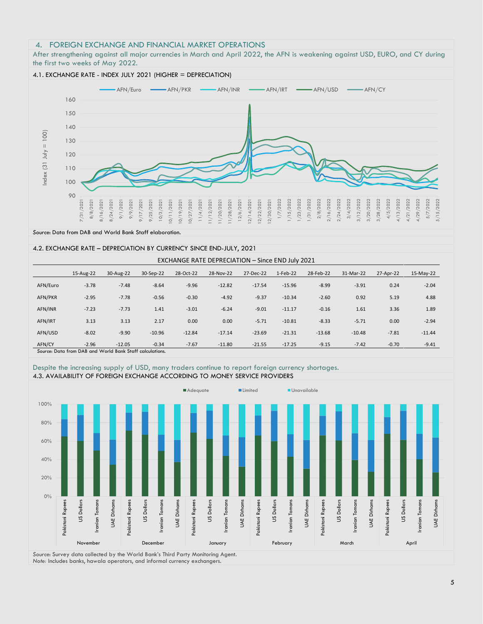### 4. FOREIGN EXCHANGE AND FINANCIAL MARKET OPERATIONS

After strengthening against all major currencies in March and April 2022, the AFN is weakening against USD, EURO, and CY during the first two weeks of May 2022.



*Source*: Data from DAB and World Bank Staff elaboration.

#### 4.2. EXCHANGE RATE – DEPRECIATION BY CURRENCY SINCE END-JULY, 2021

| EXCHANGE RATE DEPRECIATION - Since END July 2021 |                                                                     |           |           |           |           |           |          |           |           |           |           |
|--------------------------------------------------|---------------------------------------------------------------------|-----------|-----------|-----------|-----------|-----------|----------|-----------|-----------|-----------|-----------|
|                                                  | 15-Aug-22                                                           | 30-Aug-22 | 30-Sep-22 | 28-Oct-22 | 28-Nov-22 | 27-Dec-22 | 1-Feb-22 | 28-Feb-22 | 31-Mar-22 | 27-Apr-22 | 15-May-22 |
| AFN/Euro                                         | $-3.78$                                                             | $-7.48$   | $-8.64$   | $-9.96$   | $-12.82$  | $-17.54$  | $-15.96$ | $-8.99$   | $-3.91$   | 0.24      | $-2.04$   |
| AFN/PKR                                          | $-2.95$                                                             | $-7.78$   | $-0.56$   | $-0.30$   | $-4.92$   | $-9.37$   | $-10.34$ | $-2.60$   | 0.92      | 5.19      | 4.88      |
| AFN/INR                                          | $-7.23$                                                             | $-7.73$   | 1.41      | $-3.01$   | $-6.24$   | $-9.01$   | $-11.17$ | $-0.16$   | 1.61      | 3.36      | 1.89      |
| AFN/IRT                                          | 3.13                                                                | 3.13      | 2.17      | 0.00      | 0.00      | $-5.71$   | $-10.81$ | $-8.33$   | $-5.71$   | 0.00      | $-2.94$   |
| AFN/USD                                          | $-8.02$                                                             | $-9.90$   | $-10.96$  | $-12.84$  | $-17.14$  | $-23.69$  | $-21.31$ | $-13.68$  | $-10.48$  | $-7.81$   | $-11.44$  |
| AFN/CY                                           | $-2.96$<br>Course: Data from DAR and World Road: Chaff calculations | $-12.05$  | $-0.34$   | $-7.67$   | $-11.80$  | $-21.55$  | $-17.25$ | $-9.15$   | $-7.42$   | $-0.70$   | $-9.41$   |

*Source*: Data from DAB and World Bank Staff calculations.

#### Despite the increasing supply of USD, many traders continue to report foreign currency shortages. 4.3. AVAILABILITY OF FOREIGN EXCHANGE ACCORDING TO MONEY SERVICE PROVIDERS



*Source*: Survey data collected by the World Bank's Third Party Monitoring Agent. *Note:* Includes banks, hawala operators, and informal currency exchangers.